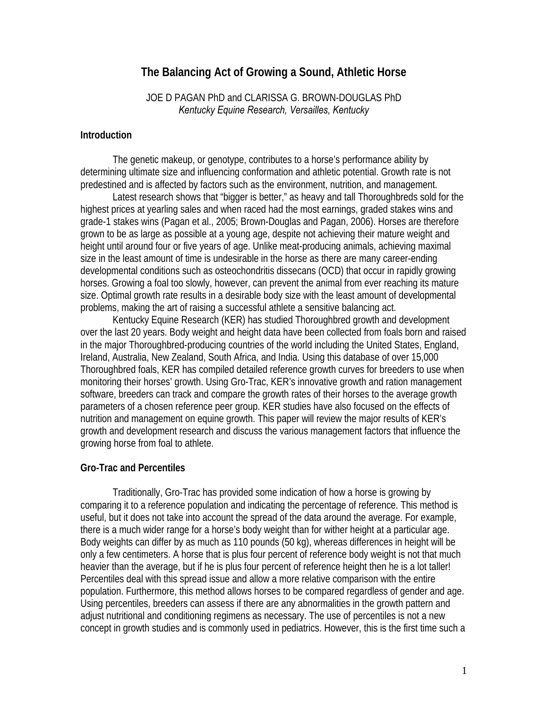# **The Balancing Act of Growing a Sound, Athletic Horse**

### JOE D PAGAN PhD and CLARISSA G. BROWN-DOUGLAS PhD *Kentucky Equine Research, Versailles, Kentucky*

### **Introduction**

 The genetic makeup, or genotype, contributes to a horse's performance ability by determining ultimate size and influencing conformation and athletic potential. Growth rate is not predestined and is affected by factors such as the environment, nutrition, and management.

 Latest research shows that "bigger is better," as heavy and tall Thoroughbreds sold for the highest prices at yearling sales and when raced had the most earnings, graded stakes wins and grade-1 stakes wins (Pagan et al., 2005; Brown-Douglas and Pagan, 2006). Horses are therefore grown to be as large as possible at a young age, despite not achieving their mature weight and height until around four or five years of age. Unlike meat-producing animals, achieving maximal size in the least amount of time is undesirable in the horse as there are many career-ending developmental conditions such as osteochondritis dissecans (OCD) that occur in rapidly growing horses. Growing a foal too slowly, however, can prevent the animal from ever reaching its mature size. Optimal growth rate results in a desirable body size with the least amount of developmental problems, making the art of raising a successful athlete a sensitive balancing act.

 Kentucky Equine Research (KER) has studied Thoroughbred growth and development over the last 20 years. Body weight and height data have been collected from foals born and raised in the major Thoroughbred-producing countries of the world including the United States, England, Ireland, Australia, New Zealand, South Africa, and India. Using this database of over 15,000 Thoroughbred foals, KER has compiled detailed reference growth curves for breeders to use when monitoring their horses' growth. Using Gro-Trac, KER's innovative growth and ration management software, breeders can track and compare the growth rates of their horses to the average growth parameters of a chosen reference peer group. KER studies have also focused on the effects of nutrition and management on equine growth. This paper will review the major results of KER's growth and development research and discuss the various management factors that influence the growing horse from foal to athlete.

### **Gro-Trac and Percentiles**

 Traditionally, Gro-Trac has provided some indication of how a horse is growing by comparing it to a reference population and indicating the percentage of reference. This method is useful, but it does not take into account the spread of the data around the average. For example, there is a much wider range for a horse's body weight than for wither height at a particular age. Body weights can differ by as much as 110 pounds (50 kg), whereas differences in height will be only a few centimeters. A horse that is plus four percent of reference body weight is not that much heavier than the average, but if he is plus four percent of reference height then he is a lot taller! Percentiles deal with this spread issue and allow a more relative comparison with the entire population. Furthermore, this method allows horses to be compared regardless of gender and age. Using percentiles, breeders can assess if there are any abnormalities in the growth pattern and adjust nutritional and conditioning regimens as necessary. The use of percentiles is not a new concept in growth studies and is commonly used in pediatrics. However, this is the first time such a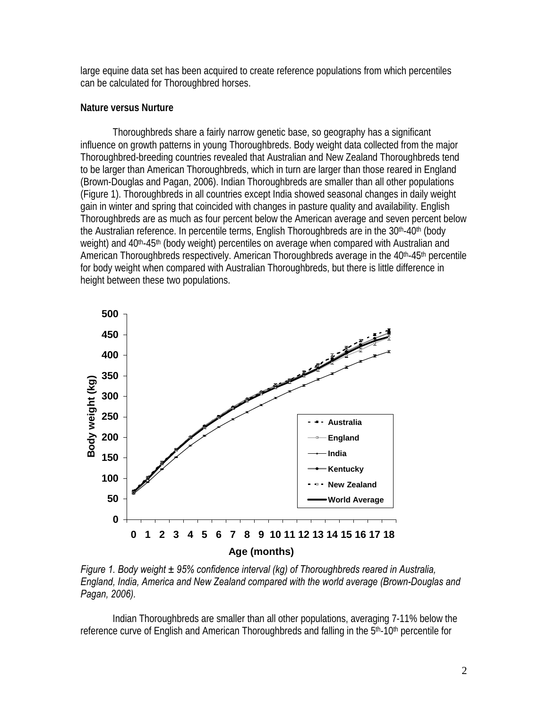large equine data set has been acquired to create reference populations from which percentiles can be calculated for Thoroughbred horses.

### **Nature versus Nurture**

 Thoroughbreds share a fairly narrow genetic base, so geography has a significant influence on growth patterns in young Thoroughbreds. Body weight data collected from the major Thoroughbred-breeding countries revealed that Australian and New Zealand Thoroughbreds tend to be larger than American Thoroughbreds, which in turn are larger than those reared in England (Brown-Douglas and Pagan, 2006). Indian Thoroughbreds are smaller than all other populations (Figure 1). Thoroughbreds in all countries except India showed seasonal changes in daily weight gain in winter and spring that coincided with changes in pasture quality and availability. English Thoroughbreds are as much as four percent below the American average and seven percent below the Australian reference. In percentile terms, English Thoroughbreds are in the 30<sup>th</sup>-40<sup>th</sup> (body weight) and 40<sup>th</sup>-45<sup>th</sup> (body weight) percentiles on average when compared with Australian and American Thoroughbreds respectively. American Thoroughbreds average in the 40<sup>th</sup>-45<sup>th</sup> percentile for body weight when compared with Australian Thoroughbreds, but there is little difference in height between these two populations.



*Figure 1. Body weight ± 95% confidence interval (kg) of Thoroughbreds reared in Australia, England, India, America and New Zealand compared with the world average (Brown-Douglas and Pagan, 2006).* 

 Indian Thoroughbreds are smaller than all other populations, averaging 7-11% below the reference curve of English and American Thoroughbreds and falling in the 5<sup>th</sup>-10<sup>th</sup> percentile for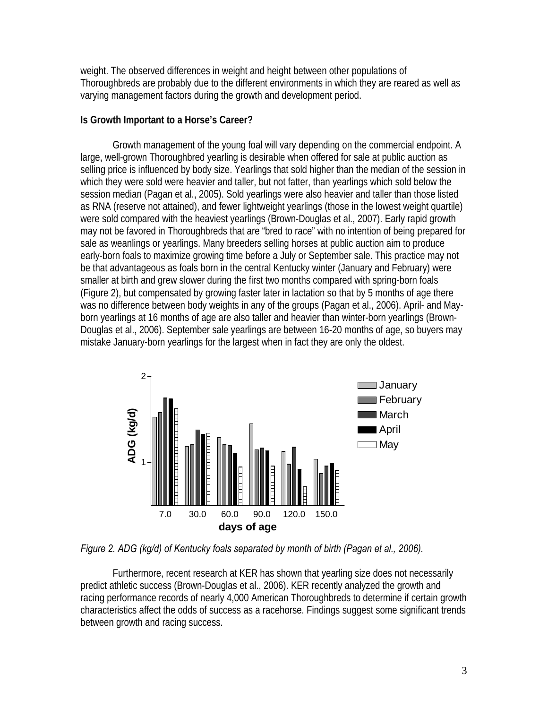weight. The observed differences in weight and height between other populations of Thoroughbreds are probably due to the different environments in which they are reared as well as varying management factors during the growth and development period.

# **Is Growth Important to a Horse's Career?**

 Growth management of the young foal will vary depending on the commercial endpoint. A large, well-grown Thoroughbred yearling is desirable when offered for sale at public auction as selling price is influenced by body size. Yearlings that sold higher than the median of the session in which they were sold were heavier and taller, but not fatter, than yearlings which sold below the session median (Pagan et al., 2005). Sold yearlings were also heavier and taller than those listed as RNA (reserve not attained), and fewer lightweight yearlings (those in the lowest weight quartile) were sold compared with the heaviest yearlings (Brown-Douglas et al., 2007). Early rapid growth may not be favored in Thoroughbreds that are "bred to race" with no intention of being prepared for sale as weanlings or yearlings. Many breeders selling horses at public auction aim to produce early-born foals to maximize growing time before a July or September sale. This practice may not be that advantageous as foals born in the central Kentucky winter (January and February) were smaller at birth and grew slower during the first two months compared with spring-born foals (Figure 2), but compensated by growing faster later in lactation so that by 5 months of age there was no difference between body weights in any of the groups (Pagan et al., 2006). April- and Mayborn yearlings at 16 months of age are also taller and heavier than winter-born yearlings (Brown-Douglas et al., 2006). September sale yearlings are between 16-20 months of age, so buyers may mistake January-born yearlings for the largest when in fact they are only the oldest.



*Figure 2. ADG (kg/d) of Kentucky foals separated by month of birth (Pagan et al., 2006).* 

 Furthermore, recent research at KER has shown that yearling size does not necessarily predict athletic success (Brown-Douglas et al., 2006). KER recently analyzed the growth and racing performance records of nearly 4,000 American Thoroughbreds to determine if certain growth characteristics affect the odds of success as a racehorse. Findings suggest some significant trends between growth and racing success.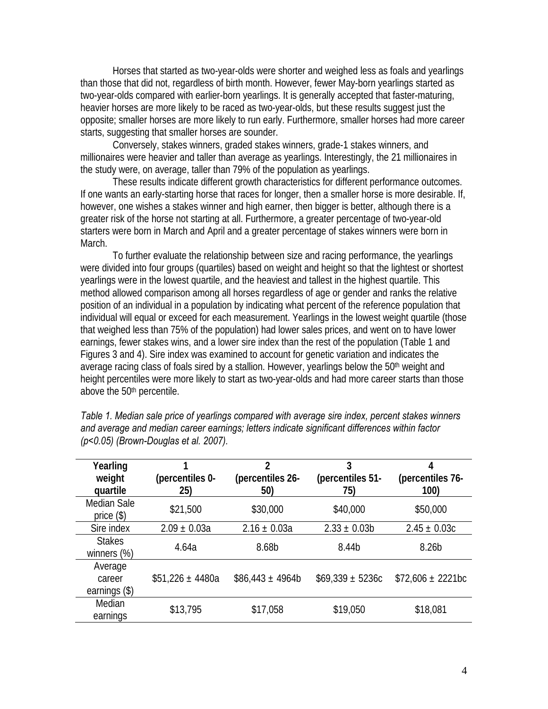Horses that started as two-year-olds were shorter and weighed less as foals and yearlings than those that did not, regardless of birth month. However, fewer May-born yearlings started as two-year-olds compared with earlier-born yearlings. It is generally accepted that faster-maturing, heavier horses are more likely to be raced as two-year-olds, but these results suggest just the opposite; smaller horses are more likely to run early. Furthermore, smaller horses had more career starts, suggesting that smaller horses are sounder.

 Conversely, stakes winners, graded stakes winners, grade-1 stakes winners, and millionaires were heavier and taller than average as yearlings. Interestingly, the 21 millionaires in the study were, on average, taller than 79% of the population as yearlings.

 These results indicate different growth characteristics for different performance outcomes. If one wants an early-starting horse that races for longer, then a smaller horse is more desirable. If, however, one wishes a stakes winner and high earner, then bigger is better, although there is a greater risk of the horse not starting at all. Furthermore, a greater percentage of two-year-old starters were born in March and April and a greater percentage of stakes winners were born in March.

 To further evaluate the relationship between size and racing performance, the yearlings were divided into four groups (quartiles) based on weight and height so that the lightest or shortest yearlings were in the lowest quartile, and the heaviest and tallest in the highest quartile. This method allowed comparison among all horses regardless of age or gender and ranks the relative position of an individual in a population by indicating what percent of the reference population that individual will equal or exceed for each measurement. Yearlings in the lowest weight quartile (those that weighed less than 75% of the population) had lower sales prices, and went on to have lower earnings, fewer stakes wins, and a lower sire index than the rest of the population (Table 1 and Figures 3 and 4). Sire index was examined to account for genetic variation and indicates the average racing class of foals sired by a stallion. However, yearlings below the 50<sup>th</sup> weight and height percentiles were more likely to start as two-year-olds and had more career starts than those above the 50<sup>th</sup> percentile.

| Yearling<br>weight<br>quartile       | (percentiles 0-<br>25) | $\overline{2}$<br>(percentiles 26-<br>50) | 3<br>(percentiles 51-<br>75) | (percentiles 76-<br>100) |
|--------------------------------------|------------------------|-------------------------------------------|------------------------------|--------------------------|
| Median Sale<br>price $(\$)$          | \$21,500               | \$30,000                                  | \$40,000                     | \$50,000                 |
| Sire index                           | $2.09 \pm 0.03a$       | $2.16 \pm 0.03a$                          | $2.33 \pm 0.03b$             | $2.45 \pm 0.03c$         |
| <b>Stakes</b><br>winners $(\%)$      | 4.64a                  | 8.68b                                     | 8.44b                        | 8.26b                    |
| Average<br>career<br>earnings $(\$)$ | $$51,226 \pm 4480a$    | $$86,443 \pm 4964$                        | $$69,339 \pm 5236c$          | $$72,606 \pm 2221$ bc    |
| Median<br>earnings                   | \$13,795               | \$17,058                                  | \$19,050                     | \$18,081                 |

*Table 1. Median sale price of yearlings compared with average sire index, percent stakes winners and average and median career earnings; letters indicate significant differences within factor (p<0.05) (Brown-Douglas et al. 2007).*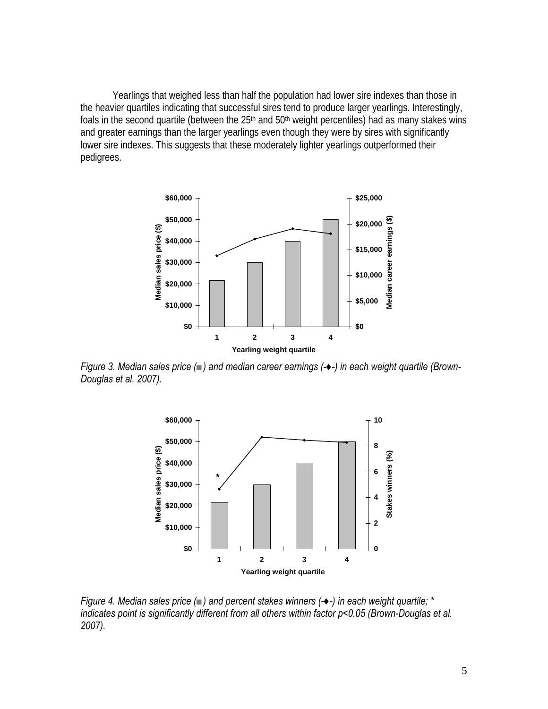Yearlings that weighed less than half the population had lower sire indexes than those in the heavier quartiles indicating that successful sires tend to produce larger yearlings. Interestingly, foals in the second quartile (between the  $25<sup>th</sup>$  and  $50<sup>th</sup>$  weight percentiles) had as many stakes wins and greater earnings than the larger yearlings even though they were by sires with significantly lower sire indexes. This suggests that these moderately lighter yearlings outperformed their pedigrees.



*Figure 3. Median sales price (■) and median career earnings (-♦-) in each weight quartile (Brown-Douglas et al. 2007).* 



*Figure 4. Median sales price (■) and percent stakes winners (-♦-) in each weight quartile; \* indicates point is significantly different from all others within factor p<0.05 (Brown-Douglas et al. 2007).*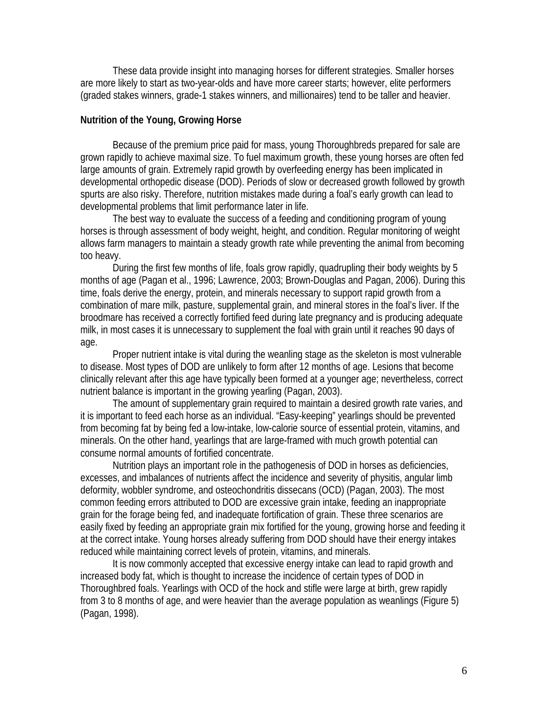These data provide insight into managing horses for different strategies. Smaller horses are more likely to start as two-year-olds and have more career starts; however, elite performers (graded stakes winners, grade-1 stakes winners, and millionaires) tend to be taller and heavier.

### **Nutrition of the Young, Growing Horse**

Because of the premium price paid for mass, young Thoroughbreds prepared for sale are developmental orthopedic disease (DOD). Periods of slow or decreased growth followed by growth grown rapidly to achieve maximal size. To fuel maximum growth, these young horses are often fed large amounts of grain. Extremely rapid growth by overfeeding energy has been implicated in spurts are also risky. Therefore, nutrition mistakes made during a foal's early growth can lead to developmental problems that limit performance later in life.

The best way to evaluate the success of a feeding and conditioning program of young horses is through assessment of body weight, height, and condition. Regular monitoring of weight allows farm managers to maintain a steady growth rate while preventing the animal from becoming too heavy.

During the first few months of life, foals grow rapidly, quadrupling their body weights by 5 combination of mare milk, pasture, supplemental grain, and mineral stores in the foal's liver. If the months of age (Pagan et al., 1996; Lawrence, 2003; Brown-Douglas and Pagan, 2006). During this time, foals derive the energy, protein, and minerals necessary to support rapid growth from a broodmare has received a correctly fortified feed during late pregnancy and is producing adequate milk, in most cases it is unnecessary to supplement the foal with grain until it reaches 90 days of age.

Proper nutrient intake is vital during the weanling stage as the skeleton is most vulnerable clinically relevant after this age have typically been formed at a younger age; nevertheless, correct to disease. Most types of DOD are unlikely to form after 12 months of age. Lesions that become nutrient balance is important in the growing yearling (Pagan, 2003).

The amount of supplementary grain required to maintain a desired growth rate varies, and it is important to feed each horse as an individual. "Easy-keeping" yearlings should be prevented from becoming fat by being fed a low-intake, low-calorie source of essential protein, vitamins, and minerals. On the other hand, yearlings that are large-framed with much growth potential can consume normal amounts of fortified concentrate.

Nutrition plays an important role in the pathogenesis of DOD in horses as deficiencies, easily fixed by feeding an appropriate grain mix fortified for the young, growing horse and feeding it excesses, and imbalances of nutrients affect the incidence and severity of physitis, angular limb deformity, wobbler syndrome, and osteochondritis dissecans (OCD) (Pagan, 2003). The most common feeding errors attributed to DOD are excessive grain intake, feeding an inappropriate grain for the forage being fed, and inadequate fortification of grain. These three scenarios are at the correct intake. Young horses already suffering from DOD should have their energy intakes reduced while maintaining correct levels of protein, vitamins, and minerals.

It is now commonly accepted that excessive energy intake can lead to rapid growth and Thoroughbred foals. Yearlings with OCD of the hock and stifle were large at birth, grew rapidly from 3 to 8 months of age, and were heavier than the average population as weanlings (Figure 5) increased body fat, which is thought to increase the incidence of certain types of DOD in (Pagan, 1998).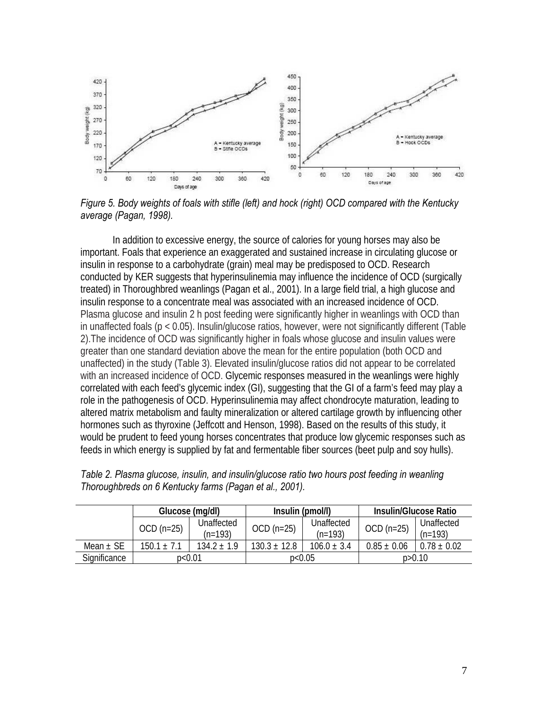

*Figure 5. Body weights of foals with stifle (left) and hock (right) OCD compared with the Kentucky average (Pagan, 1998).* 

In addition to excessive energy, the source of calories for young horses may also be important. Foals that experience an exaggerated and sustained increase in circulating glucose or insulin in response to a carbohydrate (grain) meal may be predisposed to OCD. Research conducted by KER suggests that hyperinsulinemia may influence the incidence of OCD (surgically treated) in Thoroughbred weanlings (Pagan et al., 2001). In a large field trial, a high glucose and insulin response to a concentrate meal was associated with an increased incidence of OCD. Plasma glucose and insulin 2 h post feeding were significantly higher in weanlings with OCD than in unaffected foals (p < 0.05). Insulin/glucose ratios, however, were not significantly different (Table 2).The incidence of OCD was significantly higher in foals whose glucose and insulin values were greater than one standard deviation above the mean for the entire population (both OCD and unaffected) in the study (Table 3). Elevated insulin/glucose ratios did not appear to be correlated with an increased incidence of OCD. Glycemic responses measured in the weanlings were highly correlated with each feed's glycemic index (GI), suggesting that the GI of a farm's feed may play a role in the pathogenesis of OCD. Hyperinsulinemia may affect chondrocyte maturation, leading to altered matrix metabolism and faulty mineralization or altered cartilage growth by influencing other hormones such as thyroxine (Jeffcott and Henson, 1998). Based on the results of this study, it would be prudent to feed young horses concentrates that produce low glycemic responses such as feeds in which energy is supplied by fat and fermentable fiber sources (beet pulp and soy hulls).

|               | Glucose (mg/dl) |                         | Insulin (pmol/l) |                         | <b>Insulin/Glucose Ratio</b> |                         |
|---------------|-----------------|-------------------------|------------------|-------------------------|------------------------------|-------------------------|
|               | $OCD$ (n=25)    | Unaffected<br>$(n=193)$ | $OCD$ (n=25)     | Unaffected<br>$(n=193)$ | $OCD$ (n=25)                 | Unaffected<br>$(n=193)$ |
| Mean $\pm$ SE | $150.1 + 7.1$   | $134.2 + 1.9$           | $130.3 \pm 12.8$ | $106.0 \pm 3.4$         | $0.85 \pm 0.06$              | $0.78 \pm 0.02$         |
| Significance  | p<0.01          |                         | p<0.05           |                         | p > 0.10                     |                         |

*Table 2. Plasma glucose, insulin, and insulin/glucose ratio two hours post feeding in weanling Thoroughbreds on 6 Kentucky farms (Pagan et al., 2001).*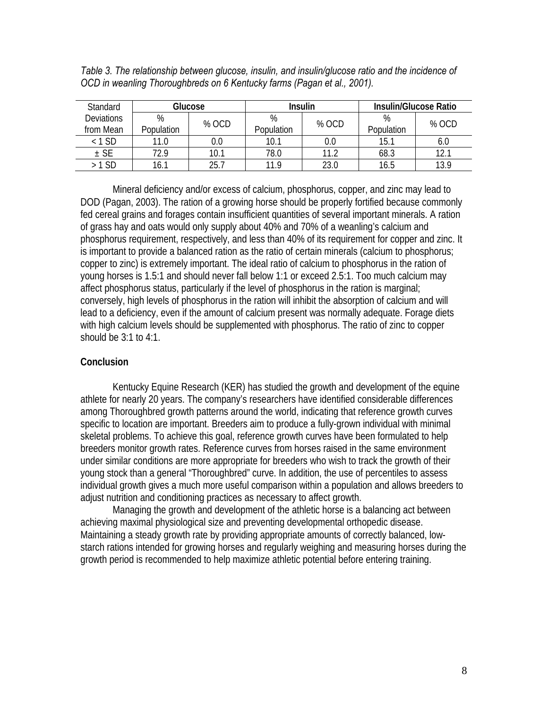| Standard          | Glucose    |       | Insulin    |       | <b>Insulin/Glucose Ratio</b> |       |
|-------------------|------------|-------|------------|-------|------------------------------|-------|
| <b>Deviations</b> | %          | % OCD | %          | % OCD | %                            | % OCD |
| from Mean         | Population |       | Population |       | Population                   |       |
| < 1 SD            | 11.0       | 0.0   | 10.1       | 0.0   | 15. .                        | 6.0   |
| $±$ SE            | 72.9       | 10.1  | 78.0       | 11.2  | 68.3                         | 12.1  |
| > 1 SD            | 16.1       | 25.7  | 11 Q       | 23.0  | 16.5                         | 13.9  |

*Table 3. The relationship between glucose, insulin, and insulin/glucose ratio and the incidence of OCD in weanling Thoroughbreds on 6 Kentucky farms (Pagan et al., 2001).* 

 Mineral deficiency and/or excess of calcium, phosphorus, copper, and zinc may lead to DOD (Pagan, 2003). The ration of a growing horse should be properly fortified because commonly fed cereal grains and forages contain insufficient quantities of several important minerals. A ration of grass hay and oats would only supply about 40% and 70% of a weanling's calcium and phosphorus requirement, respectively, and less than 40% of its requirement for copper and zinc. It is important to provide a balanced ration as the ratio of certain minerals (calcium to phosphorus; copper to zinc) is extremely important. The ideal ratio of calcium to phosphorus in the ration of young horses is 1.5:1 and should never fall below 1:1 or exceed 2.5:1. Too much calcium may affect phosphorus status, particularly if the level of phosphorus in the ration is marginal; conversely, high levels of phosphorus in the ration will inhibit the absorption of calcium and will lead to a deficiency, even if the amount of calcium present was normally adequate. Forage diets with high calcium levels should be supplemented with phosphorus. The ratio of zinc to copper should be 3:1 to 4:1.

# **Conclusion**

 Kentucky Equine Research (KER) has studied the growth and development of the equine athlete for nearly 20 years. The company's researchers have identified considerable differences among Thoroughbred growth patterns around the world, indicating that reference growth curves specific to location are important. Breeders aim to produce a fully-grown individual with minimal skeletal problems. To achieve this goal, reference growth curves have been formulated to help breeders monitor growth rates. Reference curves from horses raised in the same environment under similar conditions are more appropriate for breeders who wish to track the growth of their young stock than a general "Thoroughbred" curve. In addition, the use of percentiles to assess individual growth gives a much more useful comparison within a population and allows breeders to adjust nutrition and conditioning practices as necessary to affect growth.

 Managing the growth and development of the athletic horse is a balancing act between achieving maximal physiological size and preventing developmental orthopedic disease. Maintaining a steady growth rate by providing appropriate amounts of correctly balanced, lowstarch rations intended for growing horses and regularly weighing and measuring horses during the growth period is recommended to help maximize athletic potential before entering training.